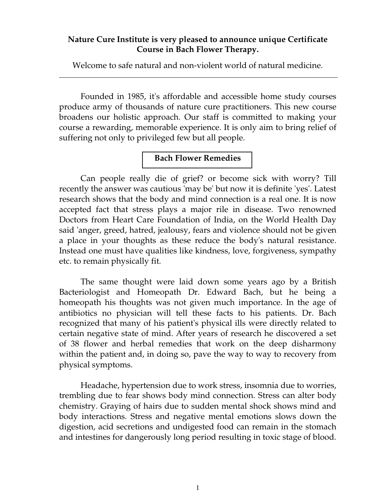# **Nature Cure Institute is very pleased to announce unique Certificate Course in Bach Flower Therapy.**

Welcome to safe natural and non-violent world of natural medicine.

Founded in 1985, it's affordable and accessible home study courses produce army of thousands of nature cure practitioners. This new course broadens our holistic approach. Our staff is committed to making your course a rewarding, memorable experience. It is only aim to bring relief of suffering not only to privileged few but all people.

## **Bach Flower Remedies**

Can people really die of grief? or become sick with worry? Till recently the answer was cautious 'may be' but now it is definite 'yes'. Latest research shows that the body and mind connection is a real one. It is now accepted fact that stress plays a major rile in disease. Two renowned Doctors from Heart Care Foundation of India, on the World Health Day said 'anger, greed, hatred, jealousy, fears and violence should not be given a place in your thoughts as these reduce the body's natural resistance. Instead one must have qualities like kindness, love, forgiveness, sympathy etc. to remain physically fit.

The same thought were laid down some years ago by a British Bacteriologist and Homeopath Dr. Edward Bach, but he being a homeopath his thoughts was not given much importance. In the age of antibiotics no physician will tell these facts to his patients. Dr. Bach recognized that many of his patient's physical ills were directly related to certain negative state of mind. After years of research he discovered a set of 38 flower and herbal remedies that work on the deep disharmony within the patient and, in doing so, pave the way to way to recovery from physical symptoms.

Headache, hypertension due to work stress, insomnia due to worries, trembling due to fear shows body mind connection. Stress can alter body chemistry. Graying of hairs due to sudden mental shock shows mind and body interactions. Stress and negative mental emotions slows down the digestion, acid secretions and undigested food can remain in the stomach and intestines for dangerously long period resulting in toxic stage of blood.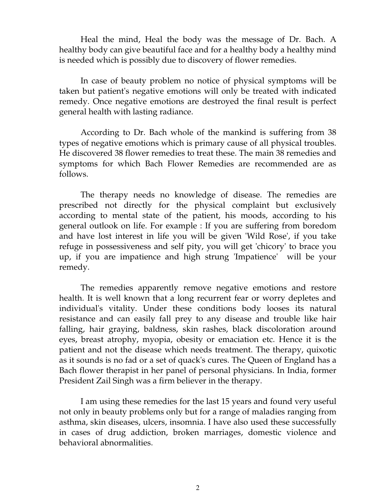Heal the mind, Heal the body was the message of Dr. Bach. A healthy body can give beautiful face and for a healthy body a healthy mind is needed which is possibly due to discovery of flower remedies.

In case of beauty problem no notice of physical symptoms will be taken but patient's negative emotions will only be treated with indicated remedy. Once negative emotions are destroyed the final result is perfect general health with lasting radiance.

According to Dr. Bach whole of the mankind is suffering from 38 types of negative emotions which is primary cause of all physical troubles. He discovered 38 flower remedies to treat these. The main 38 remedies and symptoms for which Bach Flower Remedies are recommended are as follows.

The therapy needs no knowledge of disease. The remedies are prescribed not directly for the physical complaint but exclusively according to mental state of the patient, his moods, according to his general outlook on life. For example : If you are suffering from boredom and have lost interest in life you will be given 'Wild Rose', if you take refuge in possessiveness and self pity, you will get 'chicory' to brace you up, if you are impatience and high strung 'Impatience' will be your remedy.

The remedies apparently remove negative emotions and restore health. It is well known that a long recurrent fear or worry depletes and individual's vitality. Under these conditions body looses its natural resistance and can easily fall prey to any disease and trouble like hair falling, hair graying, baldness, skin rashes, black discoloration around eyes, breast atrophy, myopia, obesity or emaciation etc. Hence it is the patient and not the disease which needs treatment. The therapy, quixotic as it sounds is no fad or a set of quack's cures. The Queen of England has a Bach flower therapist in her panel of personal physicians. In India, former President Zail Singh was a firm believer in the therapy.

I am using these remedies for the last 15 years and found very useful not only in beauty problems only but for a range of maladies ranging from asthma, skin diseases, ulcers, insomnia. I have also used these successfully in cases of drug addiction, broken marriages, domestic violence and behavioral abnormalities.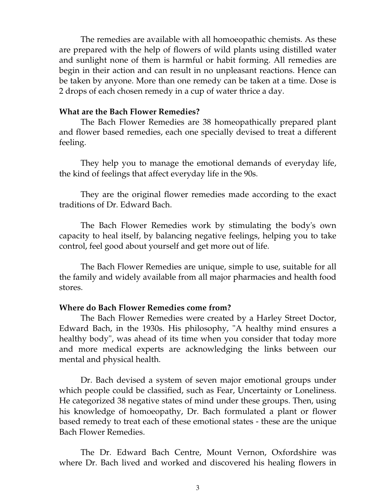The remedies are available with all homoeopathic chemists. As these are prepared with the help of flowers of wild plants using distilled water and sunlight none of them is harmful or habit forming. All remedies are begin in their action and can result in no unpleasant reactions. Hence can be taken by anyone. More than one remedy can be taken at a time. Dose is 2 drops of each chosen remedy in a cup of water thrice a day.

### **What are the Bach Flower Remedies?**

The Bach Flower Remedies are 38 homeopathically prepared plant and flower based remedies, each one specially devised to treat a different feeling.

They help you to manage the emotional demands of everyday life, the kind of feelings that affect everyday life in the 90s.

They are the original flower remedies made according to the exact traditions of Dr. Edward Bach.

The Bach Flower Remedies work by stimulating the body's own capacity to heal itself, by balancing negative feelings, helping you to take control, feel good about yourself and get more out of life.

The Bach Flower Remedies are unique, simple to use, suitable for all the family and widely available from all major pharmacies and health food stores.

#### **Where do Bach Flower Remedies come from?**

 The Bach Flower Remedies were created by a Harley Street Doctor, Edward Bach, in the 1930s. His philosophy, "A healthy mind ensures a healthy body", was ahead of its time when you consider that today more and more medical experts are acknowledging the links between our mental and physical health.

 Dr. Bach devised a system of seven major emotional groups under which people could be classified, such as Fear, Uncertainty or Loneliness. He categorized 38 negative states of mind under these groups. Then, using his knowledge of homoeopathy, Dr. Bach formulated a plant or flower based remedy to treat each of these emotional states - these are the unique Bach Flower Remedies.

 The Dr. Edward Bach Centre, Mount Vernon, Oxfordshire was where Dr. Bach lived and worked and discovered his healing flowers in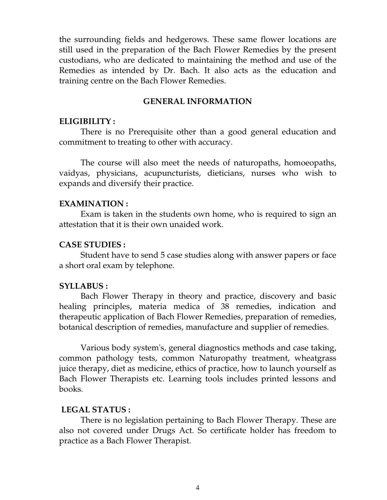the surrounding fields and hedgerows. These same flower locations are still used in the preparation of the Bach Flower Remedies by the present custodians, who are dedicated to maintaining the method and use of the Remedies as intended by Dr. Bach. It also acts as the education and training centre on the Bach Flower Remedies.

### **GENERAL INFORMATION**

### **ELIGIBILITY :**

 There is no Prerequisite other than a good general education and commitment to treating to other with accuracy.

 The course will also meet the needs of naturopaths, homoeopaths, vaidyas, physicians, acupuncturists, dieticians, nurses who wish to expands and diversify their practice.

#### **EXAMINATION :**

 Exam is taken in the students own home, who is required to sign an attestation that it is their own unaided work.

### **CASE STUDIES :**

 Student have to send 5 case studies along with answer papers or face a short oral exam by telephone.

### **SYLLABUS :**

 Bach Flower Therapy in theory and practice, discovery and basic healing principles, materia medica of 38 remedies, indication and therapeutic application of Bach Flower Remedies, preparation of remedies, botanical description of remedies, manufacture and supplier of remedies.

 Various body system's, general diagnostics methods and case taking, common pathology tests, common Naturopathy treatment, wheatgrass juice therapy, diet as medicine, ethics of practice, how to launch yourself as Bach Flower Therapists etc. Learning tools includes printed lessons and books.

### **LEGAL STATUS :**

 There is no legislation pertaining to Bach Flower Therapy. These are also not covered under Drugs Act. So certificate holder has freedom to practice as a Bach Flower Therapist.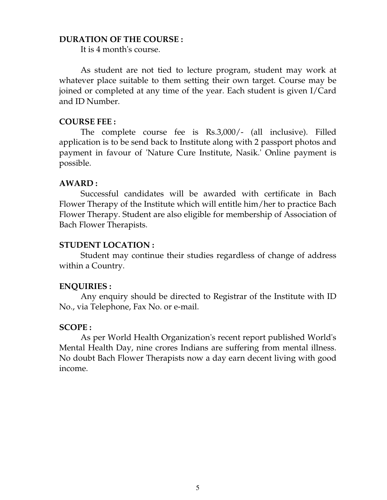## **DURATION OF THE COURSE :**

It is 4 month's course.

 As student are not tied to lecture program, student may work at whatever place suitable to them setting their own target. Course may be joined or completed at any time of the year. Each student is given I/Card and ID Number.

## **COURSE FEE :**

 The complete course fee is Rs.3,000/- (all inclusive). Filled application is to be send back to Institute along with 2 passport photos and payment in favour of 'Nature Cure Institute, Nasik.' Online payment is possible.

# **AWARD :**

 Successful candidates will be awarded with certificate in Bach Flower Therapy of the Institute which will entitle him/her to practice Bach Flower Therapy. Student are also eligible for membership of Association of Bach Flower Therapists.

# **STUDENT LOCATION :**

Student may continue their studies regardless of change of address within a Country.

## **ENQUIRIES :**

 Any enquiry should be directed to Registrar of the Institute with ID No., via Telephone, Fax No. or e-mail.

# **SCOPE :**

 As per World Health Organization's recent report published World's Mental Health Day, nine crores Indians are suffering from mental illness. No doubt Bach Flower Therapists now a day earn decent living with good income.